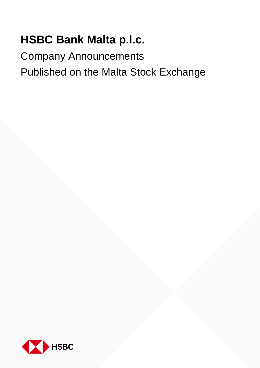## **HSBC Bank Malta p.l.c.**

Company Announcements Published on the Malta Stock Exchange

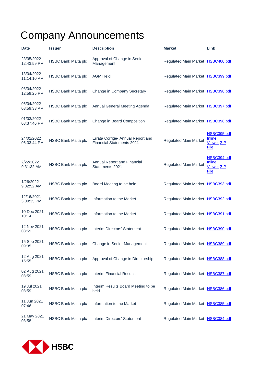## Company Announcements

| <b>Date</b>               | <b>Issuer</b>              | <b>Description</b>                                                    | <b>Market</b>                     | Link                                                      |
|---------------------------|----------------------------|-----------------------------------------------------------------------|-----------------------------------|-----------------------------------------------------------|
| 23/05/2022<br>12:43:59 PM | <b>HSBC Bank Malta plc</b> | Approval of Change in Senior<br>Management                            | Regulated Main Market HSBC400.pdf |                                                           |
| 13/04/2022<br>11:14:10 AM | <b>HSBC Bank Malta plc</b> | <b>AGM Held</b>                                                       | Regulated Main Market HSBC399.pdf |                                                           |
| 08/04/2022<br>12:59:25 PM | <b>HSBC Bank Malta plc</b> | Change in Company Secretary                                           | Regulated Main Market HSBC398.pdf |                                                           |
| 06/04/2022<br>08:59:33 AM | <b>HSBC Bank Malta plc</b> | Annual General Meeting Agenda                                         | Regulated Main Market HSBC397.pdf |                                                           |
| 01/03/2022<br>03:37:46 PM | <b>HSBC Bank Malta plc</b> | Change in Board Composition                                           | Regulated Main Market HSBC396.pdf |                                                           |
| 24/02/2022<br>06:33:44 PM | <b>HSBC Bank Malta plc</b> | Errata Corrige- Annual Report and<br><b>Financial Statements 2021</b> | <b>Regulated Main Market</b>      | HSBC395.pdf<br>Inline<br><b>Viewer ZIP</b><br>File        |
| 2/22/2022<br>9:31:32 AM   | <b>HSBC Bank Malta plc</b> | Annual Report and Financial<br>Statements 2021                        | <b>Regulated Main Market</b>      | HSBC394.pdf<br><b>Inline</b><br><b>Viewer ZIP</b><br>File |
| 1/26/2022<br>9:02:52 AM   | <b>HSBC Bank Malta plc</b> | Board Meeting to be held                                              | Regulated Main Market HSBC393.pdf |                                                           |
| 12/16/2021<br>3:00:35 PM  | <b>HSBC Bank Malta plc</b> | Information to the Market                                             | Regulated Main Market HSBC392.pdf |                                                           |
| 10 Dec 2021<br>10:14      | <b>HSBC Bank Malta plc</b> | Information to the Market                                             | Regulated Main Market HSBC391.pdf |                                                           |
| 12 Nov 2021<br>08:59      | <b>HSBC Bank Malta plc</b> | Interim Directors' Statement                                          | Regulated Main Market HSBC390.pdf |                                                           |
| 15 Sep 2021<br>09:35      | <b>HSBC Bank Malta plc</b> | Change in Senior Management                                           | Regulated Main Market HSBC389.pdf |                                                           |
| 12 Aug 2021<br>15:55      | <b>HSBC Bank Malta plc</b> | Approval of Change in Directorship                                    | Regulated Main Market HSBC388.pdf |                                                           |
| 02 Aug 2021<br>08:59      | <b>HSBC Bank Malta plc</b> | <b>Interim Financial Results</b>                                      | Regulated Main Market HSBC387.pdf |                                                           |
| 19 Jul 2021<br>08:59      | <b>HSBC Bank Malta plc</b> | Interim Results Board Meeting to be<br>held.                          | Regulated Main Market HSBC386.pdf |                                                           |
| 11 Jun 2021<br>07:46      | <b>HSBC Bank Malta plc</b> | Information to the Market                                             | Regulated Main Market HSBC385.pdf |                                                           |
| 21 May 2021<br>08:58      | <b>HSBC Bank Malta plc</b> | Interim Directors' Statement                                          | Regulated Main Market HSBC384.pdf |                                                           |

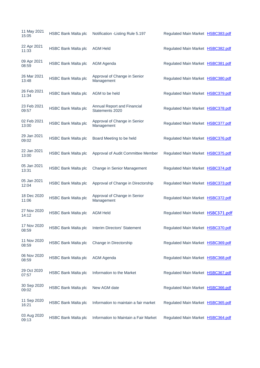| 11 May 2021<br>15:05 | <b>HSBC Bank Malta plc</b> | Notification - Listing Rule 5.197              | Regulated Main Market HSBC383.pdf |  |
|----------------------|----------------------------|------------------------------------------------|-----------------------------------|--|
| 22 Apr 2021<br>11:33 | <b>HSBC Bank Malta plc</b> | <b>AGM Held</b>                                | Regulated Main Market HSBC382.pdf |  |
| 09 Apr 2021<br>08:59 | <b>HSBC Bank Malta plc</b> | <b>AGM Agenda</b>                              | Regulated Main Market HSBC381.pdf |  |
| 26 Mar 2021<br>13:48 | <b>HSBC Bank Malta plc</b> | Approval of Change in Senior<br>Management     | Regulated Main Market HSBC380.pdf |  |
| 26 Feb 2021<br>11:34 | <b>HSBC Bank Malta plc</b> | AGM to be held                                 | Regulated Main Market HSBC379.pdf |  |
| 23 Feb 2021<br>09:57 | <b>HSBC Bank Malta plc</b> | Annual Report and Financial<br>Statements 2020 | Regulated Main Market HSBC378.pdf |  |
| 02 Feb 2021<br>13:00 | <b>HSBC Bank Malta plc</b> | Approval of Change in Senior<br>Management     | Regulated Main Market HSBC377.pdf |  |
| 29 Jan 2021<br>09:02 | <b>HSBC Bank Malta plc</b> | Board Meeting to be held                       | Regulated Main Market HSBC376.pdf |  |
| 22 Jan 2021<br>13:00 | <b>HSBC Bank Malta plc</b> | Approval of Audit Committee Member             | Regulated Main Market HSBC375.pdf |  |
| 05 Jan 2021<br>13:31 | <b>HSBC Bank Malta plc</b> | Change in Senior Management                    | Regulated Main Market HSBC374.pdf |  |
| 05 Jan 2021<br>12:04 | <b>HSBC Bank Malta plc</b> | Approval of Change in Directorship             | Regulated Main Market HSBC373.pdf |  |
| 18 Dec 2020<br>11:06 | <b>HSBC Bank Malta plc</b> | Approval of Change in Senior<br>Management     | Regulated Main Market HSBC372.pdf |  |
| 27 Nov 2020<br>14:12 | <b>HSBC Bank Malta plc</b> | <b>AGM Held</b>                                | Regulated Main Market HSBC371.pdf |  |
| 17 Nov 2020<br>08:59 | <b>HSBC Bank Malta plc</b> | Interim Directors' Statement                   | Regulated Main Market HSBC370.pdf |  |
| 11 Nov 2020<br>08:59 | <b>HSBC Bank Malta plc</b> | Change in Directorship                         | Regulated Main Market HSBC369.pdf |  |
| 06 Nov 2020<br>08:59 | <b>HSBC Bank Malta plc</b> | <b>AGM Agenda</b>                              | Regulated Main Market HSBC368.pdf |  |
| 29 Oct 2020<br>07:57 | <b>HSBC Bank Malta plc</b> | Information to the Market                      | Regulated Main Market HSBC367.pdf |  |
| 30 Sep 2020<br>09:02 | <b>HSBC Bank Malta plc</b> | New AGM date                                   | Regulated Main Market HSBC366.pdf |  |
| 11 Sep 2020<br>16:21 | <b>HSBC Bank Malta plc</b> | Information to maintain a fair market          | Regulated Main Market HSBC365.pdf |  |
| 03 Aug 2020<br>09:13 | <b>HSBC Bank Malta plc</b> | Information to Maintain a Fair Market          | Regulated Main Market HSBC364.pdf |  |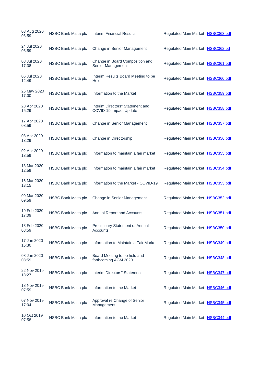| 03 Aug 2020<br>08:59 | <b>HSBC Bank Malta plc</b> | <b>Interim Financial Results</b>                           | Regulated Main Market HSBC363.pdf |  |
|----------------------|----------------------------|------------------------------------------------------------|-----------------------------------|--|
| 24 Jul 2020<br>08:59 | <b>HSBC Bank Malta plc</b> | Change in Senior Management                                | Regulated Main Market HSBC362.pd  |  |
| 08 Jul 2020<br>17:38 | <b>HSBC Bank Malta plc</b> | Change in Board Composition and<br>Senior Management       | Regulated Main Market HSBC361.pdf |  |
| 06 Jul 2020<br>12:49 | <b>HSBC Bank Malta plc</b> | Interim Results Board Meeting to be<br>Held                | Regulated Main Market HSBC360.pdf |  |
| 26 May 2020<br>17:00 | <b>HSBC Bank Malta plc</b> | Information to the Market                                  | Regulated Main Market HSBC359.pdf |  |
| 28 Apr 2020<br>15:29 | <b>HSBC Bank Malta plc</b> | Interim Directors" Statement and<br>COVID-19 Impact Update | Regulated Main Market HSBC358.pdf |  |
| 17 Apr 2020<br>08:59 | <b>HSBC Bank Malta plc</b> | Change in Senior Management                                | Regulated Main Market HSBC357.pdf |  |
| 08 Apr 2020<br>13:29 | <b>HSBC Bank Malta plc</b> | Change in Directorship                                     | Regulated Main Market HSBC356.pdf |  |
| 02 Apr 2020<br>13:59 | <b>HSBC Bank Malta plc</b> | Information to maintain a fair market                      | Regulated Main Market HSBC355.pdf |  |
| 18 Mar 2020<br>12:59 | <b>HSBC Bank Malta plc</b> | Information to maintain a fair market                      | Regulated Main Market HSBC354.pdf |  |
| 16 Mar 2020<br>13:15 | <b>HSBC Bank Malta plc</b> | Information to the Market - COVID-19                       | Regulated Main Market HSBC353.pdf |  |
| 09 Mar 2020<br>09:59 | <b>HSBC Bank Malta plc</b> | Change in Senior Management                                | Regulated Main Market HSBC352.pdf |  |
| 19 Feb 2020<br>17:09 | <b>HSBC Bank Malta plc</b> | Annual Report and Accounts                                 | Regulated Main Market HSBC351.pdf |  |
| 18 Feb 2020<br>08:59 | <b>HSBC Bank Malta plc</b> | Preliminary Statement of Annual<br>Accounts                | Regulated Main Market HSBC350.pdf |  |
| 17 Jan 2020<br>15:30 | <b>HSBC Bank Malta plc</b> | Information to Maintain a Fair Market                      | Regulated Main Market HSBC349.pdf |  |
| 08 Jan 2020<br>08:59 | <b>HSBC Bank Malta plc</b> | Board Meeting to be held and<br>forthcoming AGM 2020       | Regulated Main Market HSBC348.pdf |  |
| 22 Nov 2019<br>13:27 | <b>HSBC Bank Malta plc</b> | Interim Directors" Statement                               | Regulated Main Market HSBC347.pdf |  |
| 18 Nov 2019<br>07:59 | <b>HSBC Bank Malta plc</b> | Information to the Market                                  | Regulated Main Market HSBC346.pdf |  |
| 07 Nov 2019<br>17:04 | <b>HSBC Bank Malta plc</b> | Approval re Change of Senior<br>Management                 | Regulated Main Market HSBC345.pdf |  |
| 10 Oct 2019<br>07:58 | <b>HSBC Bank Malta plc</b> | Information to the Market                                  | Regulated Main Market HSBC344.pdf |  |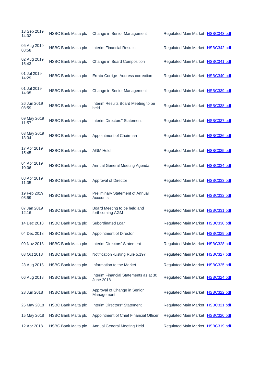| 13 Sep 2019<br>14:02 | <b>HSBC Bank Malta plc</b> | Change in Senior Management                               | Regulated Main Market HSBC343.pdf |  |
|----------------------|----------------------------|-----------------------------------------------------------|-----------------------------------|--|
| 05 Aug 2019<br>08:58 | <b>HSBC Bank Malta plc</b> | <b>Interim Financial Results</b>                          | Regulated Main Market HSBC342.pdf |  |
| 02 Aug 2019<br>16:43 | <b>HSBC Bank Malta plc</b> | Change in Board Composition                               | Regulated Main Market HSBC341.pdf |  |
| 01 Jul 2019<br>14:29 | <b>HSBC Bank Malta plc</b> | Errata Corrige- Address correction                        | Regulated Main Market HSBC340.pdf |  |
| 01 Jul 2019<br>14:05 | <b>HSBC Bank Malta plc</b> | Change in Senior Management                               | Regulated Main Market HSBC339.pdf |  |
| 26 Jun 2019<br>08:59 | <b>HSBC Bank Malta plc</b> | Interim Results Board Meeting to be<br>held               | Regulated Main Market HSBC338.pdf |  |
| 09 May 2019<br>11:57 | <b>HSBC Bank Malta plc</b> | Interim Directors" Statement                              | Regulated Main Market HSBC337.pdf |  |
| 08 May 2019<br>13:34 | <b>HSBC Bank Malta plc</b> | Appointment of Chairman                                   | Regulated Main Market HSBC336.pdf |  |
| 17 Apr 2019<br>15:45 | <b>HSBC Bank Malta plc</b> | <b>AGM Held</b>                                           | Regulated Main Market HSBC335.pdf |  |
| 04 Apr 2019<br>10:06 | <b>HSBC Bank Malta plc</b> | Annual General Meeting Agenda                             | Regulated Main Market HSBC334.pdf |  |
| 03 Apr 2019<br>11:35 | <b>HSBC Bank Malta plc</b> | Approval of Director                                      | Regulated Main Market HSBC333.pdf |  |
| 19 Feb 2019<br>08:59 | <b>HSBC Bank Malta plc</b> | Preliminary Statement of Annual<br>Accounts               | Regulated Main Market HSBC332.pdf |  |
| 07 Jan 2019<br>12:16 | <b>HSBC Bank Malta plc</b> | Board Meeting to be held and<br>forthcoming AGM           | Regulated Main Market HSBC331.pdf |  |
| 14 Dec 2018          | <b>HSBC Bank Malta plc</b> | Subordinated Loan                                         | Regulated Main Market HSBC330.pdf |  |
| 04 Dec 2018          | <b>HSBC Bank Malta plc</b> | Appointment of Director                                   | Regulated Main Market HSBC329.pdf |  |
| 09 Nov 2018          | <b>HSBC Bank Malta plc</b> | Interim Directors' Statement                              | Regulated Main Market HSBC328.pdf |  |
| 03 Oct 2018          | <b>HSBC Bank Malta plc</b> | Notification - Listing Rule 5.197                         | Regulated Main Market HSBC327.pdf |  |
| 23 Aug 2018          | <b>HSBC Bank Malta plc</b> | Information to the Market                                 | Regulated Main Market HSBC325.pdf |  |
| 06 Aug 2018          | <b>HSBC Bank Malta plc</b> | Interim Financial Statements as at 30<br><b>June 2018</b> | Regulated Main Market HSBC324.pdf |  |
| 28 Jun 2018          | <b>HSBC Bank Malta plc</b> | Approval of Change in Senior<br>Management                | Regulated Main Market HSBC322.pdf |  |
| 25 May 2018          | <b>HSBC Bank Malta plc</b> | Interim Directors" Statement                              | Regulated Main Market HSBC321.pdf |  |
| 15 May 2018          | <b>HSBC Bank Malta plc</b> | Appointment of Chief Financial Officer                    | Regulated Main Market HSBC320.pdf |  |
| 12 Apr 2018          | HSBC Bank Malta plc        | <b>Annual General Meeting Held</b>                        | Regulated Main Market HSBC319.pdf |  |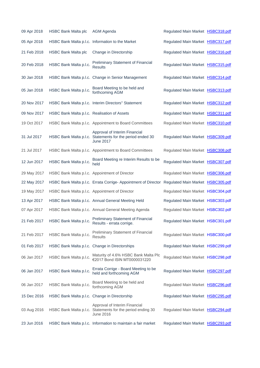| 09 Apr 2018 | <b>HSBC Bank Malta plc</b>                    | <b>AGM Agenda</b>                                                                                               | Regulated Main Market HSBC318.pdf |  |
|-------------|-----------------------------------------------|-----------------------------------------------------------------------------------------------------------------|-----------------------------------|--|
| 05 Apr 2018 |                                               | HSBC Bank Malta p.l.c. Information to the Market                                                                | Regulated Main Market HSBC317.pdf |  |
| 21 Feb 2018 | <b>HSBC Bank Malta plc</b>                    | Change in Directorship                                                                                          | Regulated Main Market HSBC316.pdf |  |
| 20 Feb 2018 | HSBC Bank Malta p.l.c.                        | <b>Preliminary Statement of Financial</b><br><b>Results</b>                                                     | Regulated Main Market HSBC315.pdf |  |
| 30 Jan 2018 |                                               | HSBC Bank Malta p.l.c. Change in Senior Management                                                              | Regulated Main Market HSBC314.pdf |  |
| 05 Jan 2018 | HSBC Bank Malta p.l.c.                        | Board Meeting to be held and<br>forthcoming AGM                                                                 | Regulated Main Market HSBC313.pdf |  |
| 20 Nov 2017 |                                               | HSBC Bank Malta p.l.c. Interim Directors" Statement                                                             | Regulated Main Market HSBC312.pdf |  |
| 09 Nov 2017 | HSBC Bank Malta p.l.c. Realisation of Assets  |                                                                                                                 | Regulated Main Market HSBC311.pdf |  |
| 19 Oct 2017 |                                               | HSBC Bank Malta p.l.c. Appointment to Board Committees                                                          | Regulated Main Market HSBC310.pdf |  |
| 31 Jul 2017 |                                               | Approval of Interim Financial<br>HSBC Bank Malta p.l.c. Statements for the period ended 30<br><b>June 2017</b>  | Regulated Main Market HSBC309.pdf |  |
| 21 Jul 2017 |                                               | HSBC Bank Malta p.l.c. Appointment to Board Committees                                                          | Regulated Main Market HSBC308.pdf |  |
| 12 Jun 2017 | HSBC Bank Malta p.l.c.                        | Board Meeting re Interim Results to be<br>held                                                                  | Regulated Main Market HSBC307.pdf |  |
| 29 May 2017 |                                               | HSBC Bank Malta p.l.c. Appointment of Director                                                                  | Regulated Main Market HSBC306.pdf |  |
| 22 May 2017 |                                               | HSBC Bank Malta p.l.c. Errata Corrige-Appointment of Director                                                   | Regulated Main Market HSBC305.pdf |  |
| 19 May 2017 |                                               | HSBC Bank Malta p.l.c. Appointment of Director                                                                  | Regulated Main Market HSBC304.pdf |  |
| 13 Apr 2017 |                                               | HSBC Bank Malta p.l.c. Annual General Meeting Held                                                              | Regulated Main Market HSBC303.pdf |  |
| 07 Apr 2017 |                                               | HSBC Bank Malta p.l.c. Annual General Meeting Agenda                                                            | Regulated Main Market HSBC302.pdf |  |
| 21 Feb 2017 | HSBC Bank Malta p.l.c.                        | <b>Preliminary Statement of Financial</b><br>Results - errata corrige.                                          | Regulated Main Market HSBC301.pdf |  |
| 21 Feb 2017 | HSBC Bank Malta p.l.c.                        | <b>Preliminary Statement of Financial</b><br><b>Results</b>                                                     | Regulated Main Market HSBC300.pdf |  |
| 01 Feb 2017 |                                               | HSBC Bank Malta p.l.c. Change in Directorships                                                                  | Regulated Main Market HSBC299.pdf |  |
| 06 Jan 2017 | HSBC Bank Malta p.l.c.                        | Maturity of 4.6% HSBC Bank Malta Plc<br>€2017 Bond ISIN MT0000031220                                            | Regulated Main Market HSBC298.pdf |  |
| 06 Jan 2017 | HSBC Bank Malta p.l.c.                        | Errata Corrige - Board Meeting to be<br>held and forthcoming AGM                                                | Regulated Main Market HSBC297.pdf |  |
| 06 Jan 2017 | HSBC Bank Malta p.l.c.                        | Board Meeting to be held and<br>forthcoming AGM                                                                 | Regulated Main Market HSBC296.pdf |  |
| 15 Dec 2016 | HSBC Bank Malta p.l.c. Change in Directorship |                                                                                                                 | Regulated Main Market HSBC295.pdf |  |
| 03 Aug 2016 |                                               | Approval of Interim Financial<br>HSBC Bank Malta p.l.c. Statements for the period ending 30<br><b>June 2016</b> | Regulated Main Market HSBC294.pdf |  |
| 23 Jun 2016 |                                               | HSBC Bank Malta p.l.c. Information to maintain a fair market                                                    | Regulated Main Market HSBC293.pdf |  |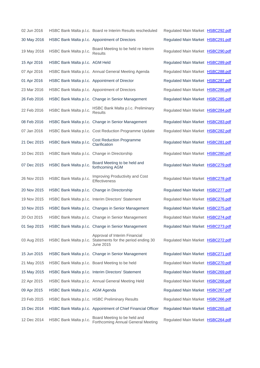| 02 Jun 2016 |                                               | HSBC Bank Malta p.l.c. Board re Interim Results rescheduled                                              | Regulated Main Market HSBC292.pdf |  |
|-------------|-----------------------------------------------|----------------------------------------------------------------------------------------------------------|-----------------------------------|--|
| 30 May 2016 |                                               | HSBC Bank Malta p.l.c. Appointment of Directors                                                          | Regulated Main Market HSBC291.pdf |  |
| 19 May 2016 | HSBC Bank Malta p.l.c.                        | Board Meeting to be held re Interim<br><b>Results</b>                                                    | Regulated Main Market HSBC290.pdf |  |
| 15 Apr 2016 | HSBC Bank Malta p.l.c. AGM Held               |                                                                                                          | Regulated Main Market HSBC289.pdf |  |
| 07 Apr 2016 |                                               | HSBC Bank Malta p.l.c. Annual General Meeting Agenda                                                     | Regulated Main Market HSBC288.pdf |  |
| 01 Apr 2016 |                                               | HSBC Bank Malta p.l.c. Appointment of Director                                                           | Regulated Main Market HSBC287.pdf |  |
| 23 Mar 2016 |                                               | HSBC Bank Malta p.l.c. Appointment of Directors                                                          | Regulated Main Market HSBC286.pdf |  |
| 26 Feb 2016 |                                               | HSBC Bank Malta p.l.c. Change in Senior Management                                                       | Regulated Main Market HSBC285.pdf |  |
| 22 Feb 2016 | HSBC Bank Malta p.l.c.                        | HSBC Bank Malta p.l.c. Preliminary<br><b>Results</b>                                                     | Regulated Main Market HSBC284.pdf |  |
| 08 Feb 2016 |                                               | HSBC Bank Malta p.l.c. Change in Senior Management                                                       | Regulated Main Market HSBC283.pdf |  |
| 07 Jan 2016 |                                               | HSBC Bank Malta p.l.c. Cost Reduction Programme Update                                                   | Regulated Main Market HSBC282.pdf |  |
| 21 Dec 2015 | HSBC Bank Malta p.l.c.                        | <b>Cost Reduction Programme</b><br>Clarification                                                         | Regulated Main Market HSBC281.pdf |  |
| 10 Dec 2015 | HSBC Bank Malta p.l.c. Change in Directorship |                                                                                                          | Regulated Main Market HSBC280.pdf |  |
| 07 Dec 2015 | HSBC Bank Malta p.l.c.                        | Board Meeting to be held and<br>forthcoming AGM                                                          | Regulated Main Market HSBC279.pdf |  |
| 26 Nov 2015 | HSBC Bank Malta p.l.c.                        | Improving Productivity and Cost<br><b>Effectiveness</b>                                                  | Regulated Main Market HSBC278.pdf |  |
| 20 Nov 2015 | HSBC Bank Malta p.l.c. Change in Directorship |                                                                                                          | Regulated Main Market HSBC277.pdf |  |
| 19 Nov 2015 |                                               | HSBC Bank Malta p.l.c. Interim Directors' Statement                                                      | Regulated Main Market HSBC276.pdf |  |
| 10 Nov 2015 |                                               | HSBC Bank Malta p.l.c. Changes in Senior Management                                                      | Regulated Main Market HSBC275.pdf |  |
| 20 Oct 2015 |                                               | HSBC Bank Malta p.l.c. Change in Senior Management                                                       | Regulated Main Market HSBC274.pdf |  |
| 01 Sep 2015 |                                               | HSBC Bank Malta p.l.c. Change in Senior Management                                                       | Regulated Main Market HSBC273.pdf |  |
| 03 Aug 2015 |                                               | Approval of Interim Financial<br>HSBC Bank Malta p.l.c. Statements for the period ending 30<br>June 2015 | Regulated Main Market HSBC272.pdf |  |
| 15 Jun 2015 |                                               | HSBC Bank Malta p.l.c. Change in Senior Management                                                       | Regulated Main Market HSBC271.pdf |  |
| 21 May 2015 |                                               | HSBC Bank Malta p.l.c. Board Meeting to be held                                                          | Regulated Main Market HSBC270.pdf |  |
| 15 May 2015 |                                               | HSBC Bank Malta p.l.c. Interim Directors' Statement                                                      | Regulated Main Market HSBC269.pdf |  |
| 22 Apr 2015 |                                               | HSBC Bank Malta p.l.c. Annual General Meeting Held                                                       | Regulated Main Market HSBC268.pdf |  |
| 09 Apr 2015 | HSBC Bank Malta p.l.c. AGM Agenda             |                                                                                                          | Regulated Main Market HSBC267.pdf |  |
| 23 Feb 2015 |                                               | HSBC Bank Malta p.l.c. HSBC Preliminary Results                                                          | Regulated Main Market HSBC266.pdf |  |
| 15 Dec 2014 |                                               | HSBC Bank Malta p.l.c. Appointment of Chief Financial Officer                                            | Regulated Main Market HSBC265.pdf |  |
| 12 Dec 2014 | HSBC Bank Malta p.l.c.                        | Board Meeting to be held and<br>Forthcoming Annual General Meeting                                       | Regulated Main Market HSBC264.pdf |  |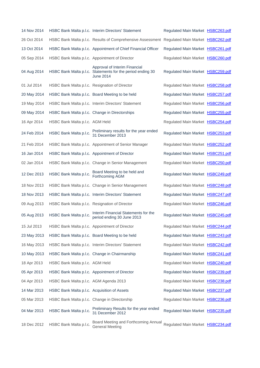| 14 Nov 2014 |                                                | HSBC Bank Malta p.l.c. Interim Directors' Statement                                                             | Regulated Main Market HSBC263.pdf |  |
|-------------|------------------------------------------------|-----------------------------------------------------------------------------------------------------------------|-----------------------------------|--|
| 26 Oct 2014 |                                                | HSBC Bank Malta p.l.c. Results of Comprehensive Assessment Regulated Main Market HSBC262.pdf                    |                                   |  |
| 13 Oct 2014 |                                                | HSBC Bank Malta p.l.c. Appointment of Chief Financial Officer                                                   | Regulated Main Market HSBC261.pdf |  |
| 05 Sep 2014 |                                                | HSBC Bank Malta p.l.c. Appointment of Director                                                                  | Regulated Main Market HSBC260.pdf |  |
| 04 Aug 2014 |                                                | Approval of Interim Financial<br>HSBC Bank Malta p.l.c. Statements for the period ending 30<br><b>June 2014</b> | Regulated Main Market HSBC259.pdf |  |
| 01 Jul 2014 | HSBC Bank Malta p.l.c. Resignation of Director |                                                                                                                 | Regulated Main Market HSBC258.pdf |  |
| 20 May 2014 |                                                | HSBC Bank Malta p.l.c. Board Meeting to be held                                                                 | Regulated Main Market HSBC257.pdf |  |
| 19 May 2014 |                                                | HSBC Bank Malta p.l.c. Interim Directors' Statement                                                             | Regulated Main Market HSBC256.pdf |  |
| 09 May 2014 |                                                | HSBC Bank Malta p.l.c. Change in Directorships                                                                  | Regulated Main Market HSBC255.pdf |  |
| 16 Apr 2014 | HSBC Bank Malta p.l.c. AGM Held                |                                                                                                                 | Regulated Main Market HSBC254.pdf |  |
| 24 Feb 2014 | HSBC Bank Malta p.l.c.                         | Preliminary results for the year ended<br>31 December 2013                                                      | Regulated Main Market HSBC253.pdf |  |
| 21 Feb 2014 |                                                | HSBC Bank Malta p.l.c. Appointment of Senior Manager                                                            | Regulated Main Market HSBC252.pdf |  |
| 16 Jan 2014 |                                                | HSBC Bank Malta p.l.c. Appointment of Director                                                                  | Regulated Main Market HSBC251.pdf |  |
| 02 Jan 2014 |                                                | HSBC Bank Malta p.l.c. Change in Senior Management                                                              | Regulated Main Market HSBC250.pdf |  |
| 12 Dec 2013 | HSBC Bank Malta p.l.c.                         | Board Meeting to be held and<br>Forthcoming AGM                                                                 | Regulated Main Market HSBC249.pdf |  |
| 18 Nov 2013 |                                                | HSBC Bank Malta p.l.c. Change in Senior Management                                                              | Regulated Main Market HSBC248.pdf |  |
| 18 Nov 2013 |                                                | HSBC Bank Malta p.l.c. Interim Directors' Statement                                                             | Regulated Main Market HSBC247.pdf |  |
| 09 Aug 2013 | HSBC Bank Malta p.l.c. Resignation of Director |                                                                                                                 | Regulated Main Market HSBC246.pdf |  |
| 05 Aug 2013 | HSBC Bank Malta p.l.c.                         | Interim Financial Statements for the<br>period ending 30 June 2013                                              | Regulated Main Market HSBC245.pdf |  |
| 15 Jul 2013 |                                                | HSBC Bank Malta p.l.c. Appointment of Director                                                                  | Regulated Main Market HSBC244.pdf |  |
| 23 May 2013 |                                                | HSBC Bank Malta p.l.c. Board Meeting to be held                                                                 | Regulated Main Market HSBC243.pdf |  |
| 16 May 2013 |                                                | HSBC Bank Malta p.l.c. Interim Directors' Statement                                                             | Regulated Main Market HSBC242.pdf |  |
| 10 May 2013 |                                                | HSBC Bank Malta p.l.c. Change in Chairmanship                                                                   | Regulated Main Market HSBC241.pdf |  |
| 18 Apr 2013 | HSBC Bank Malta p.l.c. AGM Held                |                                                                                                                 | Regulated Main Market HSBC240.pdf |  |
| 05 Apr 2013 |                                                | HSBC Bank Malta p.l.c. Appointment of Director                                                                  | Regulated Main Market HSBC239.pdf |  |
| 04 Apr 2013 | HSBC Bank Malta p.l.c. AGM Agenda 2013         |                                                                                                                 | Regulated Main Market HSBC238.pdf |  |
| 14 Mar 2013 | HSBC Bank Malta p.l.c. Acquisition of Assets   |                                                                                                                 | Regulated Main Market HSBC237.pdf |  |
| 05 Mar 2013 | HSBC Bank Malta p.l.c. Change in Directorship  |                                                                                                                 | Regulated Main Market HSBC236.pdf |  |
| 04 Mar 2013 | HSBC Bank Malta p.l.c.                         | Preliminary Results for the year ended<br>31 December 2012                                                      | Regulated Main Market HSBC235.pdf |  |
| 18 Dec 2012 | HSBC Bank Malta p.l.c.                         | Board Meeting and Forthcoming Annual<br><b>General Meeting</b>                                                  | Regulated Main Market HSBC234.pdf |  |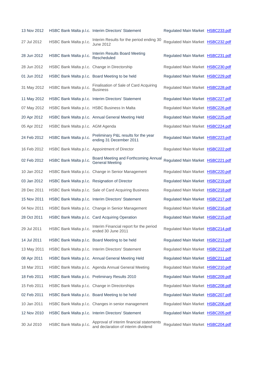| 13 Nov 2012 |                                                | HSBC Bank Malta p.l.c. Interim Directors' Statement                             | Regulated Main Market HSBC233.pdf |  |
|-------------|------------------------------------------------|---------------------------------------------------------------------------------|-----------------------------------|--|
| 27 Jul 2012 | HSBC Bank Malta p.l.c.                         | Interim Results for the period ending 30<br><b>June 2012</b>                    | Regulated Main Market HSBC232.pdf |  |
| 28 Jun 2012 | HSBC Bank Malta p.l.c.                         | Interim Results Board Meeting<br>Rescheduled                                    | Regulated Main Market HSBC231.pdf |  |
| 28 Jun 2012 | HSBC Bank Malta p.l.c. Change in Directorship  |                                                                                 | Regulated Main Market HSBC230.pdf |  |
| 01 Jun 2012 |                                                | HSBC Bank Malta p.l.c. Board Meeting to be held                                 | Regulated Main Market HSBC229.pdf |  |
| 31 May 2012 | HSBC Bank Malta p.l.c.                         | Finalisation of Sale of Card Acquiring<br><b>Business</b>                       | Regulated Main Market HSBC228.pdf |  |
| 11 May 2012 |                                                | HSBC Bank Malta p.l.c. Interim Directors' Statement                             | Regulated Main Market HSBC227.pdf |  |
| 07 May 2012 |                                                | HSBC Bank Malta p.l.c. HSBC Business In Malta                                   | Regulated Main Market HSBC226.pdf |  |
| 20 Apr 2012 |                                                | HSBC Bank Malta p.l.c. Annual General Meeting Held                              | Regulated Main Market HSBC225.pdf |  |
| 05 Apr 2012 | HSBC Bank Malta p.l.c. AGM Agenda              |                                                                                 | Regulated Main Market HSBC224.pdf |  |
| 24 Feb 2012 | HSBC Bank Malta p.l.c.                         | Preliminary P&L results for the year<br>ending 31 December 2011                 | Regulated Main Market HSBC223.pdf |  |
| 16 Feb 2012 |                                                | HSBC Bank Malta p.l.c. Appointment of Director                                  | Regulated Main Market HSBC222.pdf |  |
| 02 Feb 2012 | HSBC Bank Malta p.l.c.                         | Board Meeting and Forthcoming Annual<br><b>General Meeting</b>                  | Regulated Main Market HSBC221.pdf |  |
| 10 Jan 2012 |                                                | HSBC Bank Malta p.l.c. Change in Senior Management                              | Regulated Main Market HSBC220.pdf |  |
| 03 Jan 2012 | HSBC Bank Malta p.l.c. Resignation of Director |                                                                                 | Regulated Main Market HSBC219.pdf |  |
| 28 Dec 2011 |                                                | HSBC Bank Malta p.l.c. Sale of Card Acquiring Business                          | Regulated Main Market HSBC218.pdf |  |
| 15 Nov 2011 |                                                | HSBC Bank Malta p.l.c. Interim Directors' Statement                             | Regulated Main Market HSBC217.pdf |  |
| 04 Nov 2011 |                                                | HSBC Bank Malta p.l.c. Change in Senior Management                              | Regulated Main Market HSBC216.pdf |  |
| 28 Oct 2011 |                                                | HSBC Bank Malta p.l.c. Card Acquiring Operation                                 | Regulated Main Market HSBC215.pdf |  |
| 29 Jul 2011 | HSBC Bank Malta p.l.c.                         | Interim Financial report for the period<br>ended 30 June 2011                   | Regulated Main Market HSBC214.pdf |  |
| 14 Jul 2011 |                                                | HSBC Bank Malta p.l.c. Board Meeting to be held                                 | Regulated Main Market HSBC213.pdf |  |
| 13 May 2011 |                                                | HSBC Bank Malta p.l.c. Interim Directors' Statement                             | Regulated Main Market HSBC212.pdf |  |
| 08 Apr 2011 |                                                | HSBC Bank Malta p.l.c. Annual General Meeting Held                              | Regulated Main Market HSBC211.pdf |  |
| 18 Mar 2011 |                                                | HSBC Bank Malta p.l.c. Agenda Annual General Meeting                            | Regulated Main Market HSBC210.pdf |  |
| 18 Feb 2011 |                                                | HSBC Bank Malta p.l.c. Preliminary Results 2010                                 | Regulated Main Market HSBC209.pdf |  |
| 15 Feb 2011 |                                                | HSBC Bank Malta p.l.c. Change in Directorships                                  | Regulated Main Market HSBC208.pdf |  |
| 02 Feb 2011 |                                                | HSBC Bank Malta p.l.c. Board Meeting to be held                                 | Regulated Main Market HSBC207.pdf |  |
| 10 Jan 2011 |                                                | HSBC Bank Malta p.l.c. Changes in senior management                             | Regulated Main Market HSBC206.pdf |  |
| 12 Nov 2010 |                                                | HSBC Bank Malta p.l.c. Interim Directors' Statement                             | Regulated Main Market HSBC205.pdf |  |
| 30 Jul 2010 | HSBC Bank Malta p.l.c.                         | Approval of interim financial statements<br>and declaration of interim dividend | Regulated Main Market HSBC204.pdf |  |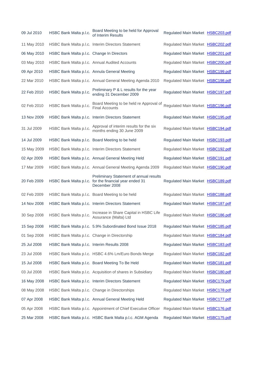| 09 Jul 2010 | HSBC Bank Malta p.l.c.                        | Board Meeting to be held for Approval<br>of Interim Results                                                        | Regulated Main Market HSBC203.pdf |  |
|-------------|-----------------------------------------------|--------------------------------------------------------------------------------------------------------------------|-----------------------------------|--|
| 11 May 2010 |                                               | HSBC Bank Malta p.l.c. Interim Directors Statement                                                                 | Regulated Main Market HSBC202.pdf |  |
| 06 May 2010 | HSBC Bank Malta p.l.c. Change In Directors    |                                                                                                                    | Regulated Main Market HSBC201.pdf |  |
| 03 May 2010 |                                               | HSBC Bank Malta p.l.c. Annual Audited Accounts                                                                     | Regulated Main Market HSBC200.pdf |  |
| 09 Apr 2010 |                                               | HSBC Bank Malta p.l.c. Annula General Meeting                                                                      | Regulated Main Market HSBC199.pdf |  |
| 22 Mar 2010 |                                               | HSBC Bank Malta p.l.c. Annual General Meeting Agenda 2010                                                          | Regulated Main Market HSBC198.pdf |  |
| 22 Feb 2010 | HSBC Bank Malta p.l.c.                        | Preliminary P & L results for the year<br>ending 31 December 2009                                                  | Regulated Main Market HSBC197.pdf |  |
| 02 Feb 2010 | HSBC Bank Malta p.l.c.                        | Board Meeting to be held re Approval of<br><b>Final Accounts</b>                                                   | Regulated Main Market HSBC196.pdf |  |
| 13 Nov 2009 |                                               | HSBC Bank Malta p.l.c. Interim Directors Statement                                                                 | Regulated Main Market HSBC195.pdf |  |
| 31 Jul 2009 | HSBC Bank Malta p.l.c.                        | Approval of interim results for the six<br>months ending 30 June 2009                                              | Regulated Main Market HSBC194.pdf |  |
| 14 Jul 2009 |                                               | HSBC Bank Malta p.l.c. Board Meeting to be held                                                                    | Regulated Main Market HSBC193.pdf |  |
| 15 May 2009 |                                               | HSBC Bank Malta p.l.c. Interim Directors Statement                                                                 | Regulated Main Market HSBC192.pdf |  |
| 02 Apr 2009 |                                               | HSBC Bank Malta p.l.c. Annual General Meeting Held                                                                 | Regulated Main Market HSBC191.pdf |  |
| 17 Mar 2009 |                                               | HSBC Bank Malta p.l.c. Annual General Meeting Agenda 2009                                                          | Regulated Main Market HSBC190.pdf |  |
| 20 Feb 2009 |                                               | Preliminary Statement of annual results<br>HSBC Bank Malta p.l.c. for the financial year ended 31<br>December 2008 | Regulated Main Market HSBC189.pdf |  |
| 02 Feb 2009 |                                               | HSBC Bank Malta p.l.c. Board Meeting to be held                                                                    | Regulated Main Market HSBC188.pdf |  |
| 14 Nov 2008 |                                               | HSBC Bank Malta p.l.c. Interim Directors Statement                                                                 | Regulated Main Market HSBC187.pdf |  |
| 30 Sep 2008 | HSBC Bank Malta p.l.c.                        | Increase in Share Capital in HSBC Life<br>Assurance (Malta) Ltd                                                    | Regulated Main Market HSBC186.pdf |  |
| 15 Sep 2008 |                                               | HSBC Bank Malta p.l.c. 5.9% Subordinated Bond Issue 2018                                                           | Regulated Main Market HSBC185.pdf |  |
| 01 Sep 2008 | HSBC Bank Malta p.l.c. Change in Directorship |                                                                                                                    | Regulated Main Market HSBC184.pdf |  |
| 25 Jul 2008 | HSBC Bank Malta p.l.c. Interim Results 2008   |                                                                                                                    | Regulated Main Market HSBC183.pdf |  |
| 23 Jul 2008 |                                               | HSBC Bank Malta p.l.c. HSBC 4.6% Lm/Euro Bonds Merge                                                               | Regulated Main Market HSBC182.pdf |  |
| 15 Jul 2008 |                                               | HSBC Bank Malta p.l.c. Board Meeting To Be Held                                                                    | Regulated Main Market HSBC181.pdf |  |
| 03 Jul 2008 |                                               | HSBC Bank Malta p.l.c. Acquisition of shares in Subsidiary                                                         | Regulated Main Market HSBC180.pdf |  |
| 16 May 2008 |                                               | HSBC Bank Malta p.l.c. Interim Directors Statement                                                                 | Regulated Main Market HSBC179.pdf |  |
| 08 May 2008 |                                               | HSBC Bank Malta p.l.c. Change in Directorships                                                                     | Regulated Main Market HSBC178.pdf |  |
| 07 Apr 2008 |                                               | HSBC Bank Malta p.l.c. Annual General Meeting Held                                                                 | Regulated Main Market HSBC177.pdf |  |
| 05 Apr 2008 |                                               | HSBC Bank Malta p.l.c. Appointment of Chief Executive Officer                                                      | Regulated Main Market HSBC176.pdf |  |
| 25 Mar 2008 |                                               | HSBC Bank Malta p.l.c. HSBC Bank Malta p.l.c. AGM Agenda                                                           | Regulated Main Market HSBC175.pdf |  |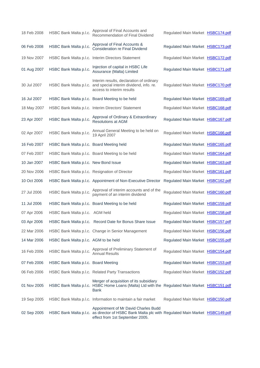| 18 Feb 2008 | HSBC Bank Malta p.l.c.                         | Approval of Final Accounts and<br>Recommendation of Final Dividend                                                                                                          | Regulated Main Market HSBC174.pdf |  |
|-------------|------------------------------------------------|-----------------------------------------------------------------------------------------------------------------------------------------------------------------------------|-----------------------------------|--|
| 06 Feb 2008 | HSBC Bank Malta p.l.c.                         | Approval of Final Accounts &<br><b>Consideration re Final Dividend</b>                                                                                                      | Regulated Main Market HSBC173.pdf |  |
| 19 Nov 2007 |                                                | HSBC Bank Malta p.l.c. Interim Directors Statement                                                                                                                          | Regulated Main Market HSBC172.pdf |  |
| 01 Aug 2007 | HSBC Bank Malta p.l.c.                         | Injection of capital in HSBC Life<br>Assurance (Malta) Limited                                                                                                              | Regulated Main Market HSBC171.pdf |  |
| 30 Jul 2007 |                                                | Interim results, declaration of ordinary<br>HSBC Bank Malta p.l.c. and special interim dividend, info. re.<br>access to interim results                                     | Regulated Main Market HSBC170.pdf |  |
| 16 Jul 2007 |                                                | HSBC Bank Malta p.l.c. Board Meeting to be held                                                                                                                             | Regulated Main Market HSBC169.pdf |  |
| 18 May 2007 |                                                | HSBC Bank Malta p.l.c. Interim Directors' Statement                                                                                                                         | Regulated Main Market HSBC168.pdf |  |
| 23 Apr 2007 | HSBC Bank Malta p.l.c.                         | Approval of Ordinary & Extraordinary<br><b>Resolutions at AGM</b>                                                                                                           | Regulated Main Market HSBC167.pdf |  |
| 02 Apr 2007 | HSBC Bank Malta p.l.c.                         | Annual General Meeting to be held on<br>19 April 2007                                                                                                                       | Regulated Main Market HSBC166.pdf |  |
| 16 Feb 2007 | HSBC Bank Malta p.l.c. Board Meeting held      |                                                                                                                                                                             | Regulated Main Market HSBC165.pdf |  |
| 07 Feb 2007 |                                                | HSBC Bank Malta p.l.c. Board Meeting to be held                                                                                                                             | Regulated Main Market HSBC164.pdf |  |
| 10 Jan 2007 | HSBC Bank Malta p.l.c. New Bond Issue          |                                                                                                                                                                             | Regulated Main Market HSBC163.pdf |  |
| 20 Nov 2006 | HSBC Bank Malta p.l.c. Resignation of Director |                                                                                                                                                                             | Regulated Main Market HSBC161.pdf |  |
| 10 Oct 2006 |                                                | HSBC Bank Malta p.l.c. Appointment of Non-Executive Director                                                                                                                | Regulated Main Market HSBC162.pdf |  |
| 27 Jul 2006 | HSBC Bank Malta p.l.c.                         | Approval of interim accounts and of the<br>payment of an interim dividend                                                                                                   | Regulated Main Market HSBC160.pdf |  |
| 11 Jul 2006 |                                                | HSBC Bank Malta p.l.c. Board Meeting to be held                                                                                                                             | Regulated Main Market HSBC159.pdf |  |
| 07 Apr 2006 | HSBC Bank Malta p.l.c. AGM held                |                                                                                                                                                                             | Regulated Main Market HSBC158.pdf |  |
| 03 Apr 2006 |                                                | HSBC Bank Malta p.l.c. Record Date for Bonus Share Issue                                                                                                                    | Regulated Main Market HSBC157.pdf |  |
| 22 Mar 2006 |                                                | HSBC Bank Malta p.l.c. Change in Senior Management                                                                                                                          | Regulated Main Market HSBC156.pdf |  |
| 14 Mar 2006 | HSBC Bank Malta p.l.c. AGM to be held          |                                                                                                                                                                             | Regulated Main Market HSBC155.pdf |  |
| 16 Feb 2006 | HSBC Bank Malta p.l.c.                         | Approval of Preliminary Statement of<br><b>Annual Results</b>                                                                                                               | Regulated Main Market HSBC154.pdf |  |
| 07 Feb 2006 | HSBC Bank Malta p.l.c. Board Meeting           |                                                                                                                                                                             | Regulated Main Market HSBC153.pdf |  |
| 06 Feb 2006 |                                                | HSBC Bank Malta p.l.c. Related Party Transactions                                                                                                                           | Regulated Main Market HSBC152.pdf |  |
| 01 Nov 2005 |                                                | Merger of acquisition of its subsidiary<br>HSBC Bank Malta p.l.c. HSBC Home Loans (Malta) Ltd with the Regulated Main Market HSBC151.pdf<br>Bank                            |                                   |  |
| 19 Sep 2005 |                                                | HSBC Bank Malta p.l.c. Information to maintain a fair market                                                                                                                | Regulated Main Market HSBC150.pdf |  |
| 02 Sep 2005 |                                                | Appointment of Mr David Charles Budd<br>HSBC Bank Malta p.l.c. as director of HSBC Bank Malta plc with Regulated Main Market HSBC149.pdf<br>effect from 1st September 2005. |                                   |  |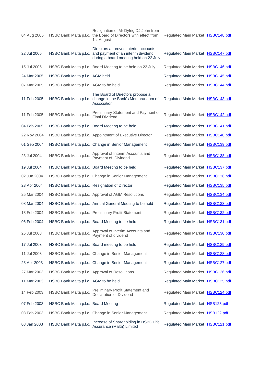| 04 Aug 2005 |                                                | Resignation of Mr Dyfrig DJ John from<br>HSBC Bank Malta p.l.c. the Board of Directors with effect from<br>1st August                       | Regulated Main Market HSBC148.pdf |  |
|-------------|------------------------------------------------|---------------------------------------------------------------------------------------------------------------------------------------------|-----------------------------------|--|
| 22 Jul 2005 |                                                | Directors approved interim accounts<br>HSBC Bank Malta p.l.c. and payment of an interim dividend<br>during a board meeting held on 22 July. | Regulated Main Market HSBC147.pdf |  |
| 15 Jul 2005 |                                                | HSBC Bank Malta p.l.c. Board Meeting to be held on 22 July.                                                                                 | Regulated Main Market HSBC146.pdf |  |
| 24 Mar 2005 | HSBC Bank Malta p.l.c. AGM held                |                                                                                                                                             | Regulated Main Market HSBC145.pdf |  |
| 07 Mar 2005 | HSBC Bank Malta p.l.c. AGM to be held          |                                                                                                                                             | Regulated Main Market HSBC144.pdf |  |
| 11 Feb 2005 |                                                | The Board of Directors propose a<br>HSBC Bank Malta p.l.c. change in the Bank's Memorandum of<br>Association                                | Regulated Main Market HSBC143.pdf |  |
| 11 Feb 2005 | HSBC Bank Malta p.l.c.                         | Preliminary Statement and Payment of<br><b>Final Dividend</b>                                                                               | Regulated Main Market HSBC142.pdf |  |
| 04 Feb 2005 |                                                | HSBC Bank Malta p.l.c. Board Meeting to be held                                                                                             | Regulated Main Market HSBC141.pdf |  |
| 22 Nov 2004 |                                                | HSBC Bank Malta p.l.c. Appointment of Executive Director                                                                                    | Regulated Main Market HSBC140.pdf |  |
| 01 Sep 2004 |                                                | HSBC Bank Malta p.l.c. Change in Senior Management                                                                                          | Regulated Main Market HSBC139.pdf |  |
| 23 Jul 2004 | HSBC Bank Malta p.l.c.                         | Approval of Interim Accounts and<br>Payment of Dividend                                                                                     | Regulated Main Market HSBC138.pdf |  |
| 19 Jul 2004 |                                                | HSBC Bank Malta p.l.c. Board Meeting to be held                                                                                             | Regulated Main Market HSBC137.pdf |  |
| 02 Jun 2004 |                                                | HSBC Bank Malta p.l.c. Change in Senior Management                                                                                          | Regulated Main Market HSBC136.pdf |  |
| 23 Apr 2004 | HSBC Bank Malta p.l.c. Resignation of Director |                                                                                                                                             | Regulated Main Market HSBC135.pdf |  |
| 25 Mar 2004 |                                                | HSBC Bank Malta p.l.c. Approval of AGM Resolutions                                                                                          | Regulated Main Market HSBC134.pdf |  |
| 08 Mar 2004 |                                                | HSBC Bank Malta p.l.c. Annual General Meeting to be held                                                                                    | Regulated Main Market HSBC133.pdf |  |
| 13 Feb 2004 |                                                | HSBC Bank Malta p.l.c. Preliminary Profit Statement                                                                                         | Regulated Main Market HSBC132.pdf |  |
| 06 Feb 2004 |                                                | HSBC Bank Malta p.l.c. Board Meeting to be held                                                                                             | Regulated Main Market HSBC131.pdf |  |
| 25 Jul 2003 | HSBC Bank Malta p.l.c.                         | Approval of Interim Accounts and<br>Payment of dividend                                                                                     | Regulated Main Market HSBC130.pdf |  |
| 17 Jul 2003 |                                                | HSBC Bank Malta p.l.c. Board meeting to be held                                                                                             | Regulated Main Market HSBC129.pdf |  |
| 11 Jul 2003 |                                                | HSBC Bank Malta p.l.c. Change in Senior Management                                                                                          | Regulated Main Market HSBC128.pdf |  |
| 28 Apr 2003 |                                                | HSBC Bank Malta p.l.c. Change in Senior Management                                                                                          | Regulated Main Market HSBC127.pdf |  |
| 27 Mar 2003 |                                                | HSBC Bank Malta p.l.c. Approval of Resolutions                                                                                              | Regulated Main Market HSBC126.pdf |  |
| 11 Mar 2003 | HSBC Bank Malta p.l.c. AGM to be held          |                                                                                                                                             | Regulated Main Market HSBC125.pdf |  |
| 14 Feb 2003 | HSBC Bank Malta p.l.c.                         | <b>Preliminary Profit Statement and</b><br>Declaration of Dividend                                                                          | Regulated Main Market HSBC124.pdf |  |
| 07 Feb 2003 | HSBC Bank Malta p.l.c. Board Meeting           |                                                                                                                                             | Regulated Main Market HSB123.pdf  |  |
| 03 Feb 2003 |                                                | HSBC Bank Malta p.l.c. Change in Senior Management                                                                                          | Regulated Main Market HSB122.pdf  |  |
| 08 Jan 2003 | HSBC Bank Malta p.l.c.                         | Increase of Shareholding in HSBC Life<br>Assurance (Malta) Limited                                                                          | Regulated Main Market HSBC121.pdf |  |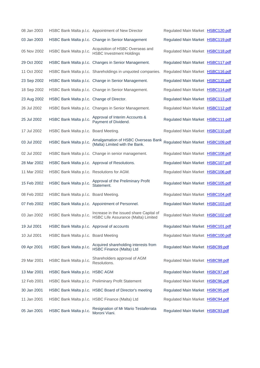| 08 Jan 2003 |                                             | HSBC Bank Malta p.l.c. Appointment of New Director                             | Regulated Main Market HSBC120.pdf |  |
|-------------|---------------------------------------------|--------------------------------------------------------------------------------|-----------------------------------|--|
| 03 Jan 2003 |                                             | HSBC Bank Malta p.l.c. Change in Senior Management                             | Regulated Main Market HSBC119.pdf |  |
| 05 Nov 2002 | HSBC Bank Malta p.l.c.                      | Acquisition of HSBC Overseas and<br><b>HSBC Investment Holdings</b>            | Regulated Main Market HSBC118.pdf |  |
| 29 Oct 2002 |                                             | HSBC Bank Malta p.l.c. Changes in Senior Management.                           | Regulated Main Market HSBC117.pdf |  |
| 11 Oct 2002 |                                             | HSBC Bank Malta p.l.c. Shareholdings in unquoted companies.                    | Regulated Main Market HSBC116.pdf |  |
| 23 Sep 2002 |                                             | HSBC Bank Malta p.l.c. Change in Senior Management.                            | Regulated Main Market HSBC115.pdf |  |
| 18 Sep 2002 |                                             | HSBC Bank Malta p.l.c. Change in Senior Management.                            | Regulated Main Market HSBC114.pdf |  |
| 23 Aug 2002 | HSBC Bank Malta p.l.c. Change of Director.  |                                                                                | Regulated Main Market HSBC113.pdf |  |
| 26 Jul 2002 |                                             | HSBC Bank Malta p.l.c. Changes in Senior Management.                           | Regulated Main Market HSBC112.pdf |  |
| 25 Jul 2002 | HSBC Bank Malta p.l.c.                      | Approval of Interim Accounts &<br>Payment of Dividend.                         | Regulated Main Market HSBC111.pdf |  |
| 17 Jul 2002 | HSBC Bank Malta p.l.c. Board Meeting.       |                                                                                | Regulated Main Market HSBC110.pdf |  |
| 03 Jul 2002 | HSBC Bank Malta p.l.c.                      | Amalgamation of HSBC Overseas Bank<br>(Malta) Limited with the Bank.           | Regulated Main Market HSBC109.pdf |  |
| 02 Jul 2002 |                                             | HSBC Bank Malta p.l.c. Change in senior management.                            | Regulated Main Market HSBC108.pdf |  |
| 28 Mar 2002 |                                             | HSBC Bank Malta p.l.c. Approval of Resolutions.                                | Regulated Main Market HSBC107.pdf |  |
| 11 Mar 2002 | HSBC Bank Malta p.l.c. Resolutions for AGM. |                                                                                | Regulated Main Market HSBC106.pdf |  |
| 15 Feb 2002 | HSBC Bank Malta p.l.c.                      | Approval of the Preliminary Profit<br>Statement.                               | Regulated Main Market HSBC105.pdf |  |
| 08 Feb 2002 | HSBC Bank Malta p.l.c. Board Meeting.       |                                                                                | Regulated Main Market HSBC104.pdf |  |
| 07 Feb 2002 |                                             | HSBC Bank Malta p.l.c. Appointment of Personnel.                               | Regulated Main Market HSBC103.pdf |  |
| 03 Jan 2002 | HSBC Bank Malta p.l.c.                      | Increase in the issued share Capital of<br>HSBC Life Assurance (Malta) Limited | Regulated Main Market HSBC102.pdf |  |
| 19 Jul 2001 | HSBC Bank Malta p.l.c. Approval of accounts |                                                                                | Regulated Main Market HSBC101.pdf |  |
| 10 Jul 2001 | HSBC Bank Malta p.l.c. Board Meeting        |                                                                                | Regulated Main Market HSBC100.pdf |  |
| 09 Apr 2001 | HSBC Bank Malta p.l.c.                      | Acquired shareholding interests from<br><b>HSBC Finance (Malta) Ltd</b>        | Regulated Main Market HSBC99.pdf  |  |
| 29 Mar 2001 | HSBC Bank Malta p.l.c.                      | Shareholders approval of AGM<br>Resolutions.                                   | Regulated Main Market HSBC98.pdf  |  |
| 13 Mar 2001 | HSBC Bank Malta p.l.c. HSBC AGM             |                                                                                | Regulated Main Market HSBC97.pdf  |  |
| 12 Feb 2001 |                                             | HSBC Bank Malta p.l.c. Preliminary Profit Statement                            | Regulated Main Market HSBC96.pdf  |  |
| 30 Jan 2001 |                                             | HSBC Bank Malta p.l.c. HSBC Board of Director's meeting                        | Regulated Main Market HSBC95.pdf  |  |
| 11 Jan 2001 |                                             | HSBC Bank Malta p.l.c. HSBC Finance (Malta) Ltd                                | Regulated Main Market HSBC94.pdf  |  |
| 05 Jan 2001 | HSBC Bank Malta p.l.c.                      | Resignation of Mr Mario Testaferrata<br>Moroni Viani.                          | Regulated Main Market HSBC93.pdf  |  |